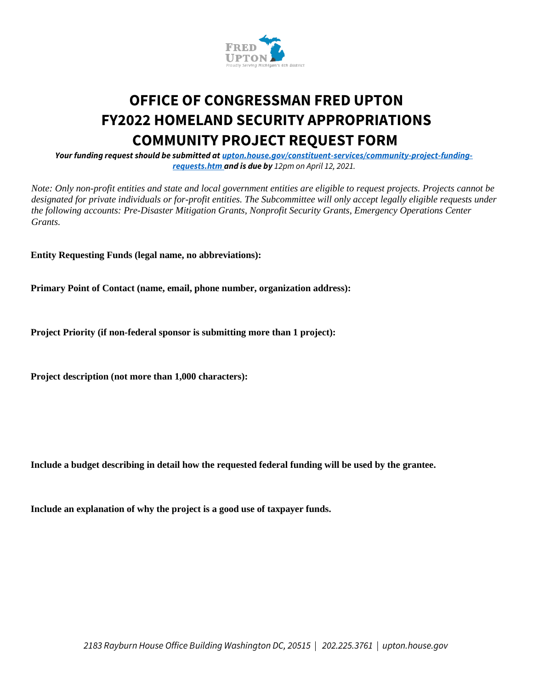

## **OFFICE OF CONGRESSMAN FRED UPTON FY2022 HOMELAND SECURITY APPROPRIATIONS COMMUNITY PROJECT REQUEST FORM**

*Your funding request should be submitted at upton.house.gov/constituent-services/community-project-fundingrequests.htm and is due by 12pm on April 12, 2021.*

*Note: Only non-profit entities and state and local government entities are eligible to request projects. Projects cannot be designated for private individuals or for-profit entities. The Subcommittee will only accept legally eligible requests under the following accounts: Pre-Disaster Mitigation Grants, Nonprofit Security Grants, Emergency Operations Center Grants.* 

**Entity Requesting Funds (legal name, no abbreviations):** 

**Primary Point of Contact (name, email, phone number, organization address):** 

**Project Priority (if non-federal sponsor is submitting more than 1 project):** 

**Project description (not more than 1,000 characters):** 

**Include a budget describing in detail how the requested federal funding will be used by the grantee.** 

**Include an explanation of why the project is a good use of taxpayer funds.**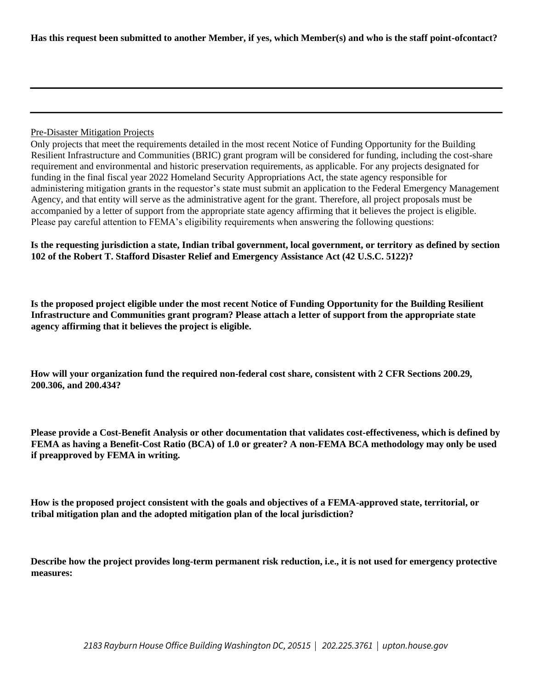## Pre-Disaster Mitigation Projects

Only projects that meet the requirements detailed in the most recent Notice of Funding Opportunity for the Building Resilient Infrastructure and Communities (BRIC) grant program will be considered for funding, including the cost-share requirement and environmental and historic preservation requirements, as applicable. For any projects designated for funding in the final fiscal year 2022 Homeland Security Appropriations Act, the state agency responsible for administering mitigation grants in the requestor's state must submit an application to the Federal Emergency Management Agency, and that entity will serve as the administrative agent for the grant. Therefore, all project proposals must be accompanied by a letter of support from the appropriate state agency affirming that it believes the project is eligible. Please pay careful attention to FEMA's eligibility requirements when answering the following questions:

**Is the requesting jurisdiction a state, Indian tribal government, local government, or territory as defined by section 102 of the Robert T. Stafford Disaster Relief and Emergency Assistance Act (42 U.S.C. 5122)?** 

**Is the proposed project eligible under the most recent Notice of Funding Opportunity for the Building Resilient Infrastructure and Communities grant program? Please attach a letter of support from the appropriate state agency affirming that it believes the project is eligible.** 

**How will your organization fund the required non-federal cost share, consistent with 2 CFR Sections 200.29, 200.306, and 200.434?** 

**Please provide a Cost-Benefit Analysis or other documentation that validates cost-effectiveness, which is defined by FEMA as having a Benefit-Cost Ratio (BCA) of 1.0 or greater? A non-FEMA BCA methodology may only be used if preapproved by FEMA in writing.** 

**How is the proposed project consistent with the goals and objectives of a FEMA-approved state, territorial, or tribal mitigation plan and the adopted mitigation plan of the local jurisdiction?** 

**Describe how the project provides long-term permanent risk reduction, i.e., it is not used for emergency protective measures:**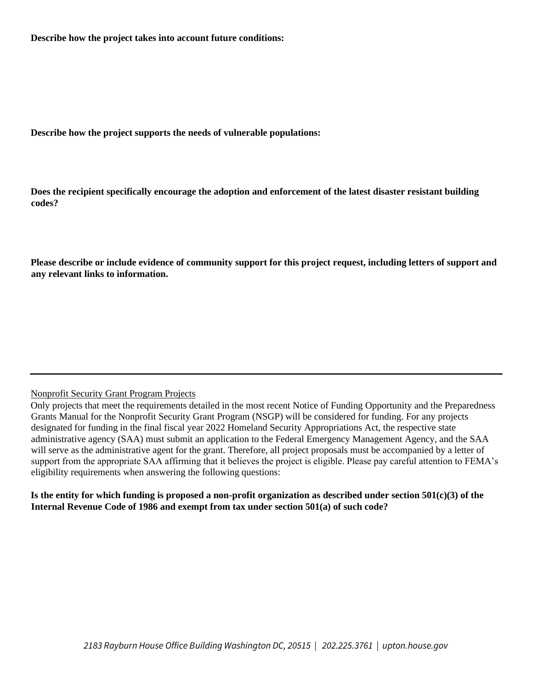**Describe how the project takes into account future conditions:** 

**Describe how the project supports the needs of vulnerable populations:** 

**Does the recipient specifically encourage the adoption and enforcement of the latest disaster resistant building codes?** 

**Please describe or include evidence of community support for this project request, including letters of support and any relevant links to information.** 

## Nonprofit Security Grant Program Projects

Only projects that meet the requirements detailed in the most recent Notice of Funding Opportunity and the Preparedness Grants Manual for the Nonprofit Security Grant Program (NSGP) will be considered for funding. For any projects designated for funding in the final fiscal year 2022 Homeland Security Appropriations Act, the respective state administrative agency (SAA) must submit an application to the Federal Emergency Management Agency, and the SAA will serve as the administrative agent for the grant. Therefore, all project proposals must be accompanied by a letter of support from the appropriate SAA affirming that it believes the project is eligible. Please pay careful attention to FEMA's eligibility requirements when answering the following questions:

**Is the entity for which funding is proposed a non-profit organization as described under section 501(c)(3) of the Internal Revenue Code of 1986 and exempt from tax under section 501(a) of such code?**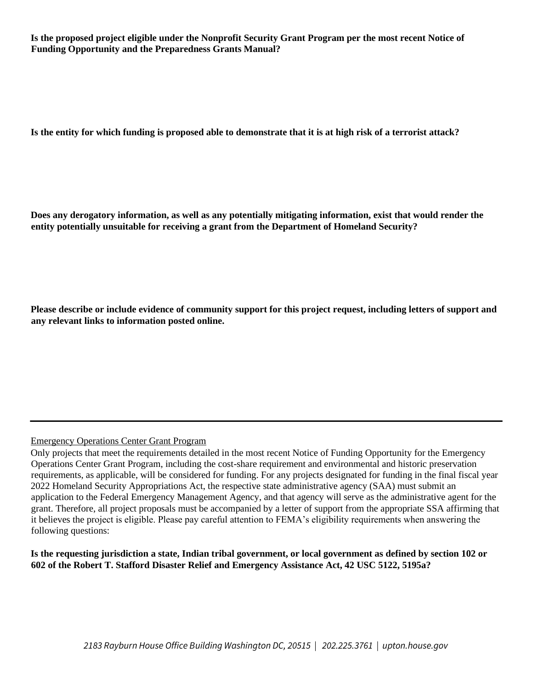**Is the proposed project eligible under the Nonprofit Security Grant Program per the most recent Notice of Funding Opportunity and the Preparedness Grants Manual?** 

**Is the entity for which funding is proposed able to demonstrate that it is at high risk of a terrorist attack?** 

**Does any derogatory information, as well as any potentially mitigating information, exist that would render the entity potentially unsuitable for receiving a grant from the Department of Homeland Security?** 

**Please describe or include evidence of community support for this project request, including letters of support and any relevant links to information posted online.** 

## Emergency Operations Center Grant Program

Only projects that meet the requirements detailed in the most recent Notice of Funding Opportunity for the Emergency Operations Center Grant Program, including the cost-share requirement and environmental and historic preservation requirements, as applicable, will be considered for funding. For any projects designated for funding in the final fiscal year 2022 Homeland Security Appropriations Act, the respective state administrative agency (SAA) must submit an application to the Federal Emergency Management Agency, and that agency will serve as the administrative agent for the grant. Therefore, all project proposals must be accompanied by a letter of support from the appropriate SSA affirming that it believes the project is eligible. Please pay careful attention to FEMA's eligibility requirements when answering the following questions:

**Is the requesting jurisdiction a state, Indian tribal government, or local government as defined by section 102 or 602 of the Robert T. Stafford Disaster Relief and Emergency Assistance Act, 42 USC 5122, 5195a?**